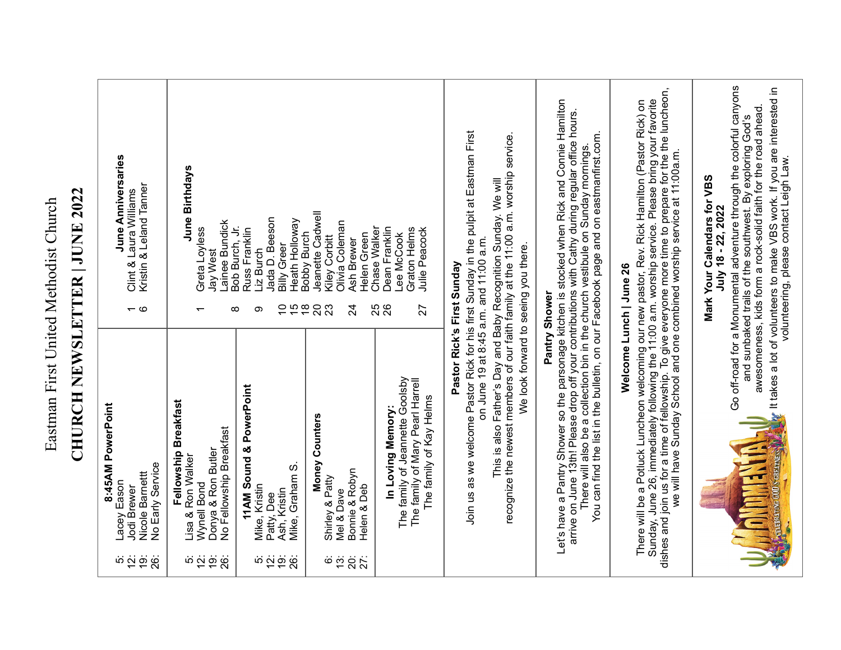## **CHURCH NEWSLETTER | JUNE 2022** Eastman First United Methodist Church Eastman First United Methodist Church

**CHURCH NEWSLETTER | JUNE 2022**

| si și și și<br>Si                   | 8:45AM PowerPoint<br>No Early Service<br>Nicole Barnett<br>Lacey Eason<br>Jodi Brewer                                                                                                                                                                                                                                                                                                       | $\overline{\phantom{a}}$ $\circ$                         | June Anniversaries<br>Kristin & Leland Tanner<br>Clint & Laura Williams                                                                                                                                                                                                                                                                                                     |
|-------------------------------------|---------------------------------------------------------------------------------------------------------------------------------------------------------------------------------------------------------------------------------------------------------------------------------------------------------------------------------------------------------------------------------------------|----------------------------------------------------------|-----------------------------------------------------------------------------------------------------------------------------------------------------------------------------------------------------------------------------------------------------------------------------------------------------------------------------------------------------------------------------|
| si și și și                         | Fellowship Breakfast<br>No Fellowship Breakfast<br>Donya & Ron Butler<br>Lisa & Ron Walker<br>Wynell Bond                                                                                                                                                                                                                                                                                   | $\infty$                                                 | June Birthdays<br>Lainee Bundick<br>Bob Burch, Jr.<br>Greta Loyless<br>Jay West                                                                                                                                                                                                                                                                                             |
| si și și și                         | 11AM Sound & PowerPoint<br>Mike, Graham S<br>Mike, Kristin<br>Ash, Kristin<br>Patty, Dee                                                                                                                                                                                                                                                                                                    | $rac{10}{2}$<br>ၜ                                        | Jada D. Beeson<br>Heath Holloway<br>Russ Franklin<br><b>Billy Greer</b><br>Liz Burch                                                                                                                                                                                                                                                                                        |
| <u>ေ</u> ထ<br>$\overline{5}$<br>27: | Money Counters<br>Bonnie & Robyn<br>Shirley & Patty<br>Helen & Deb<br>Mel & Dave                                                                                                                                                                                                                                                                                                            | $\frac{8}{1}$<br>$\overline{c}$<br>23<br>$\overline{24}$ | Jeanette Cadwell<br>Olivia Coleman<br><b>Bobby Burch</b><br>Helen Green<br>Kiley Corbitt<br>Ash Brewer                                                                                                                                                                                                                                                                      |
|                                     | The family of Jeannette Goolsby<br>The family of Mary Pearl Harrell<br>The family of Kay Helms<br>In Loving Memory:                                                                                                                                                                                                                                                                         | <b>25</b><br>26<br>27                                    | Chase Walker<br>Dean Franklin<br>Graton Helms<br>Julie Peacock<br>Lee McCook                                                                                                                                                                                                                                                                                                |
|                                     | Join us as we welcome Pastor Rick for his first Sunday in the pulpit at Eastman First<br>recognize the newest members of our faith family at the 11:00 a.m. worship service.<br>This is also Father's Day and Baby Recognition Sunday. We will<br>on June 19 at 8:45 a.m. and 11:00 a.m.<br>We look forward to seeing you there.<br>Pastor Rick's First Sunday                              |                                                          |                                                                                                                                                                                                                                                                                                                                                                             |
|                                     | Let's have a Pantry Shower so the parsonage kitchen is stocked when Rick and Connie Hamilton<br>arrive on June 13th! Please drop off your contributions with Cathy during regular office hours.<br>There will also be a collection bin in the church vestibule on Sunday mornings.<br>You can find the list in the bulletin, on our Facebook page and on eastmanfirst.com.<br>Pantry Shower |                                                          |                                                                                                                                                                                                                                                                                                                                                                             |
|                                     | There will be a Potluck Luncheon welcoming our new pastor, Rev. Rick Hamilton (Pastor Rick) on<br>Sunday, June 26, immediately following the 11:00 a.m. worship service. Please bring your favorite<br>dishes and join us for a time<br>Welcome Lunch   June 26                                                                                                                             |                                                          |                                                                                                                                                                                                                                                                                                                                                                             |
|                                     | <b>COLUMATIVE COD S'GRETTVESS</b><br><b>THE SECTION</b><br>E                                                                                                                                                                                                                                                                                                                                |                                                          | Go off-road for a Monumental adventure through the colorful canyons<br>It takes a lot of volunteers to make VBS work. If you are interested in<br>awesomeness, kids form a rock-solid faith for the road ahead.<br>and sunbaked trails of the southwest. By exploring God's<br>volunteering, please contact Leigh Law.<br>Mark Your Calendars for VBS<br>July 18 - 22, 2022 |